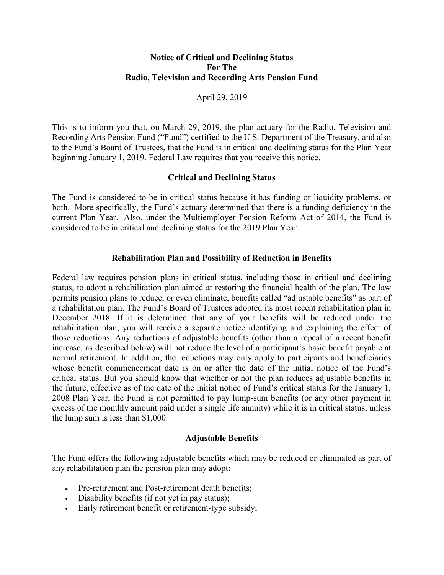## Notice of Critical and Declining Status For The Radio, Television and Recording Arts Pension Fund

April 29, 2019

This is to inform you that, on March 29, 2019, the plan actuary for the Radio, Television and Recording Arts Pension Fund ("Fund") certified to the U.S. Department of the Treasury, and also to the Fund's Board of Trustees, that the Fund is in critical and declining status for the Plan Year beginning January 1, 2019. Federal Law requires that you receive this notice.

### Critical and Declining Status

The Fund is considered to be in critical status because it has funding or liquidity problems, or both. More specifically, the Fund's actuary determined that there is a funding deficiency in the current Plan Year. Also, under the Multiemployer Pension Reform Act of 2014, the Fund is considered to be in critical and declining status for the 2019 Plan Year.

### Rehabilitation Plan and Possibility of Reduction in Benefits

Federal law requires pension plans in critical status, including those in critical and declining status, to adopt a rehabilitation plan aimed at restoring the financial health of the plan. The law permits pension plans to reduce, or even eliminate, benefits called "adjustable benefits" as part of a rehabilitation plan. The Fund's Board of Trustees adopted its most recent rehabilitation plan in December 2018. If it is determined that any of your benefits will be reduced under the rehabilitation plan, you will receive a separate notice identifying and explaining the effect of those reductions. Any reductions of adjustable benefits (other than a repeal of a recent benefit increase, as described below) will not reduce the level of a participant's basic benefit payable at normal retirement. In addition, the reductions may only apply to participants and beneficiaries whose benefit commencement date is on or after the date of the initial notice of the Fund's critical status. But you should know that whether or not the plan reduces adjustable benefits in the future, effective as of the date of the initial notice of Fund's critical status for the January 1, 2008 Plan Year, the Fund is not permitted to pay lump-sum benefits (or any other payment in excess of the monthly amount paid under a single life annuity) while it is in critical status, unless the lump sum is less than \$1,000.

#### Adjustable Benefits

The Fund offers the following adjustable benefits which may be reduced or eliminated as part of any rehabilitation plan the pension plan may adopt:

- Pre-retirement and Post-retirement death benefits;
- Disability benefits (if not yet in pay status);
- Early retirement benefit or retirement-type subsidy;